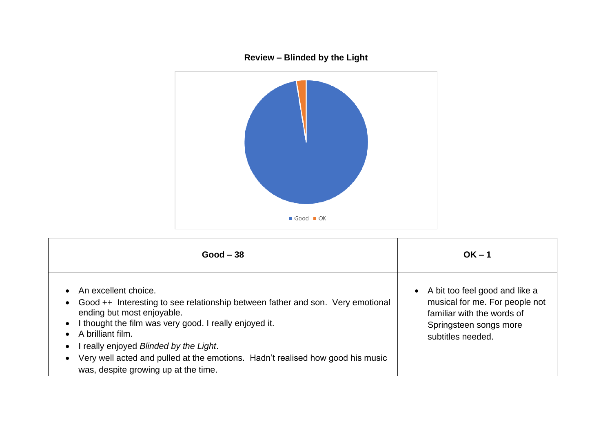

## **Review – Blinded by the Light**

| $Good - 38$                                                                                                                                                                                                                                                                                                                                                                           | $OK - 1$                                                                                                                                      |
|---------------------------------------------------------------------------------------------------------------------------------------------------------------------------------------------------------------------------------------------------------------------------------------------------------------------------------------------------------------------------------------|-----------------------------------------------------------------------------------------------------------------------------------------------|
| An excellent choice.<br>Good ++ Interesting to see relationship between father and son. Very emotional<br>ending but most enjoyable.<br>I thought the film was very good. I really enjoyed it.<br>A brilliant film.<br>really enjoyed Blinded by the Light.<br>Very well acted and pulled at the emotions. Hadn't realised how good his music<br>was, despite growing up at the time. | A bit too feel good and like a<br>musical for me. For people not<br>familiar with the words of<br>Springsteen songs more<br>subtitles needed. |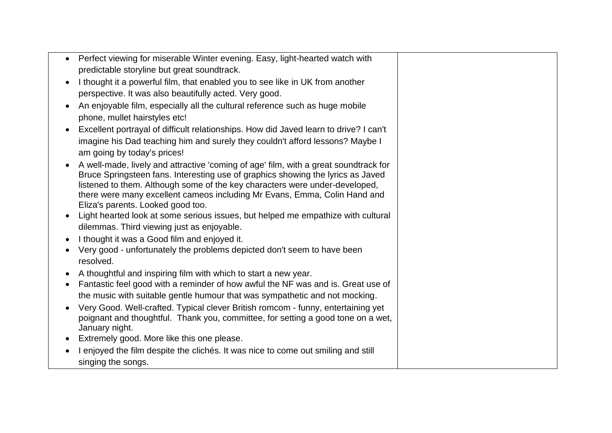| Perfect viewing for miserable Winter evening. Easy, light-hearted watch with                                                                                                                                                                                                                                                                                             |  |
|--------------------------------------------------------------------------------------------------------------------------------------------------------------------------------------------------------------------------------------------------------------------------------------------------------------------------------------------------------------------------|--|
| predictable storyline but great soundtrack.                                                                                                                                                                                                                                                                                                                              |  |
| I thought it a powerful film, that enabled you to see like in UK from another                                                                                                                                                                                                                                                                                            |  |
| perspective. It was also beautifully acted. Very good.                                                                                                                                                                                                                                                                                                                   |  |
| An enjoyable film, especially all the cultural reference such as huge mobile                                                                                                                                                                                                                                                                                             |  |
| phone, mullet hairstyles etc!                                                                                                                                                                                                                                                                                                                                            |  |
| Excellent portrayal of difficult relationships. How did Javed learn to drive? I can't                                                                                                                                                                                                                                                                                    |  |
| imagine his Dad teaching him and surely they couldn't afford lessons? Maybe I<br>am going by today's prices!                                                                                                                                                                                                                                                             |  |
| A well-made, lively and attractive 'coming of age' film, with a great soundtrack for<br>Bruce Springsteen fans. Interesting use of graphics showing the lyrics as Javed<br>listened to them. Although some of the key characters were under-developed,<br>there were many excellent cameos including Mr Evans, Emma, Colin Hand and<br>Eliza's parents. Looked good too. |  |
| Light hearted look at some serious issues, but helped me empathize with cultural<br>dilemmas. Third viewing just as enjoyable.                                                                                                                                                                                                                                           |  |
| I thought it was a Good film and enjoyed it.                                                                                                                                                                                                                                                                                                                             |  |
| Very good - unfortunately the problems depicted don't seem to have been<br>resolved.                                                                                                                                                                                                                                                                                     |  |
| A thoughtful and inspiring film with which to start a new year.                                                                                                                                                                                                                                                                                                          |  |
| Fantastic feel good with a reminder of how awful the NF was and is. Great use of                                                                                                                                                                                                                                                                                         |  |
| the music with suitable gentle humour that was sympathetic and not mocking.                                                                                                                                                                                                                                                                                              |  |
| Very Good. Well-crafted. Typical clever British romcom - funny, entertaining yet<br>poignant and thoughtful. Thank you, committee, for setting a good tone on a wet,<br>January night.                                                                                                                                                                                   |  |
| Extremely good. More like this one please.                                                                                                                                                                                                                                                                                                                               |  |
| I enjoyed the film despite the clichés. It was nice to come out smiling and still<br>singing the songs.                                                                                                                                                                                                                                                                  |  |